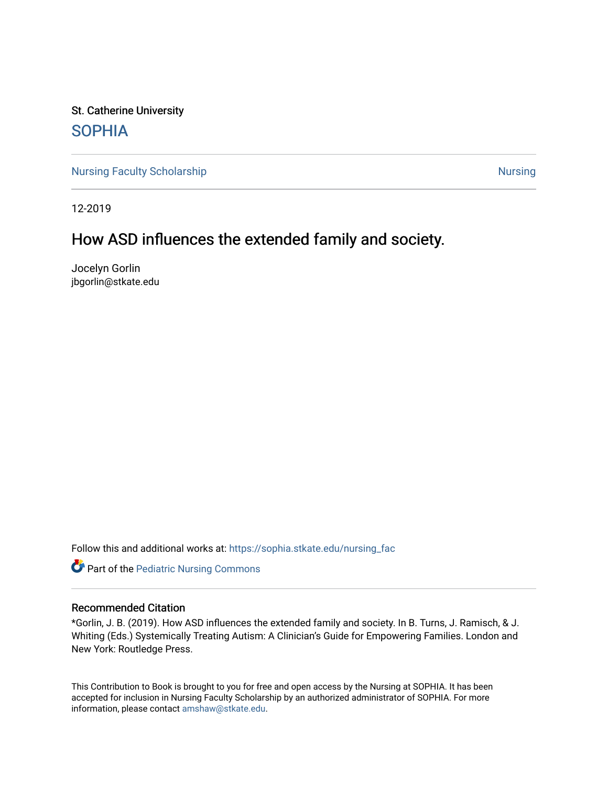St. Catherine University [SOPHIA](https://sophia.stkate.edu/) 

[Nursing Faculty Scholarship](https://sophia.stkate.edu/nursing_fac) [Nursing](https://sophia.stkate.edu/nursing) Nursing Nursing Nursing

12-2019

# How ASD influences the extended family and society.

Jocelyn Gorlin jbgorlin@stkate.edu

Follow this and additional works at: [https://sophia.stkate.edu/nursing\\_fac](https://sophia.stkate.edu/nursing_fac?utm_source=sophia.stkate.edu%2Fnursing_fac%2F30&utm_medium=PDF&utm_campaign=PDFCoverPages)

**Part of the [Pediatric Nursing Commons](http://network.bepress.com/hgg/discipline/723?utm_source=sophia.stkate.edu%2Fnursing_fac%2F30&utm_medium=PDF&utm_campaign=PDFCoverPages)** 

## Recommended Citation

\*Gorlin, J. B. (2019). How ASD influences the extended family and society. In B. Turns, J. Ramisch, & J. Whiting (Eds.) Systemically Treating Autism: A Clinician's Guide for Empowering Families. London and New York: Routledge Press.

This Contribution to Book is brought to you for free and open access by the Nursing at SOPHIA. It has been accepted for inclusion in Nursing Faculty Scholarship by an authorized administrator of SOPHIA. For more information, please contact [amshaw@stkate.edu.](mailto:amshaw@stkate.edu)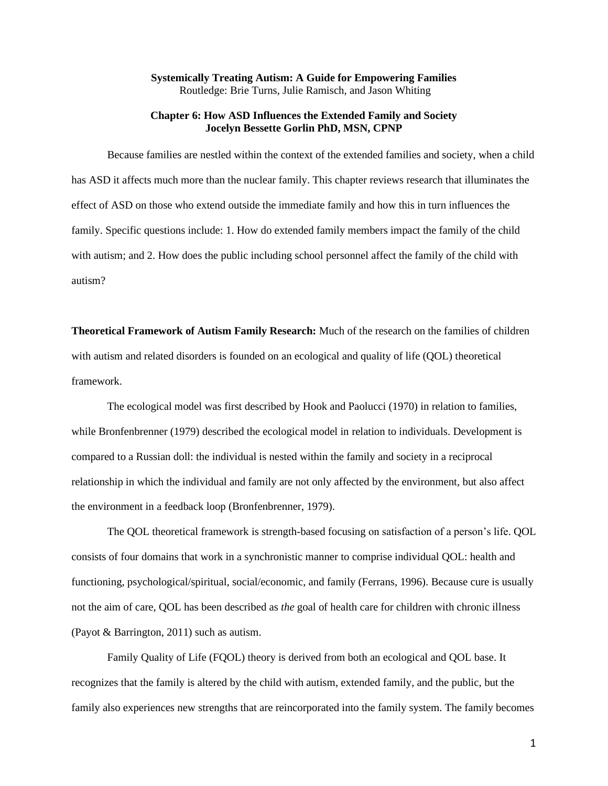## **Systemically Treating Autism: A Guide for Empowering Families** Routledge: Brie Turns, Julie Ramisch, and Jason Whiting

### **Chapter 6: How ASD Influences the Extended Family and Society Jocelyn Bessette Gorlin PhD, MSN, CPNP**

Because families are nestled within the context of the extended families and society, when a child has ASD it affects much more than the nuclear family. This chapter reviews research that illuminates the effect of ASD on those who extend outside the immediate family and how this in turn influences the family. Specific questions include: 1. How do extended family members impact the family of the child with autism; and 2. How does the public including school personnel affect the family of the child with autism?

**Theoretical Framework of Autism Family Research:** Much of the research on the families of children with autism and related disorders is founded on an ecological and quality of life (OOL) theoretical framework.

The ecological model was first described by Hook and Paolucci (1970) in relation to families, while Bronfenbrenner (1979) described the ecological model in relation to individuals. Development is compared to a Russian doll: the individual is nested within the family and society in a reciprocal relationship in which the individual and family are not only affected by the environment, but also affect the environment in a feedback loop (Bronfenbrenner, 1979).

The QOL theoretical framework is strength-based focusing on satisfaction of a person's life. QOL consists of four domains that work in a synchronistic manner to comprise individual QOL: health and functioning, psychological/spiritual, social/economic, and family (Ferrans, 1996). Because cure is usually not the aim of care, QOL has been described as *the* goal of health care for children with chronic illness (Payot & Barrington, 2011) such as autism.

Family Quality of Life (FQOL) theory is derived from both an ecological and QOL base. It recognizes that the family is altered by the child with autism, extended family, and the public, but the family also experiences new strengths that are reincorporated into the family system. The family becomes

1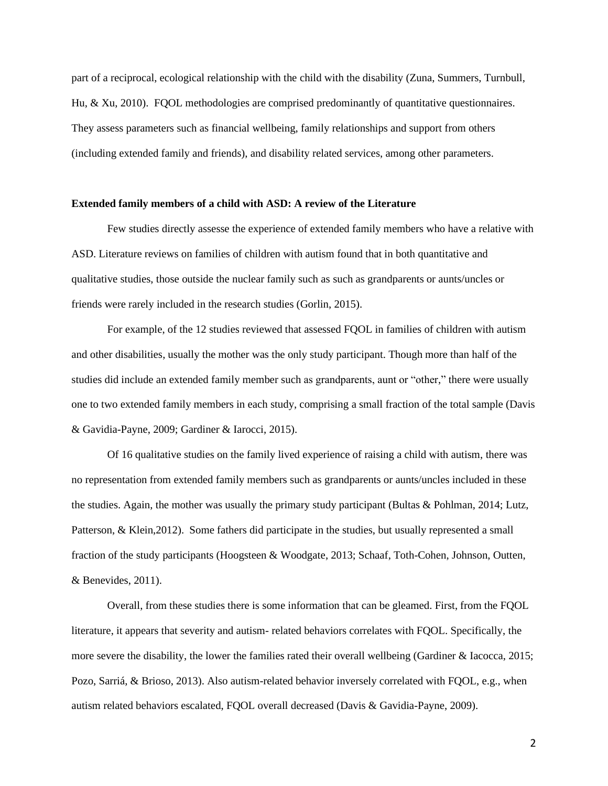part of a reciprocal, ecological relationship with the child with the disability (Zuna, Summers, Turnbull, Hu, & Xu, 2010). FQOL methodologies are comprised predominantly of quantitative questionnaires. They assess parameters such as financial wellbeing, family relationships and support from others (including extended family and friends), and disability related services, among other parameters.

#### **Extended family members of a child with ASD: A review of the Literature**

Few studies directly assesse the experience of extended family members who have a relative with ASD. Literature reviews on families of children with autism found that in both quantitative and qualitative studies, those outside the nuclear family such as such as grandparents or aunts/uncles or friends were rarely included in the research studies (Gorlin, 2015).

For example, of the 12 studies reviewed that assessed FQOL in families of children with autism and other disabilities, usually the mother was the only study participant. Though more than half of the studies did include an extended family member such as grandparents, aunt or "other," there were usually one to two extended family members in each study, comprising a small fraction of the total sample (Davis & Gavidia-Payne, 2009; Gardiner & Iarocci, 2015).

Of 16 qualitative studies on the family lived experience of raising a child with autism, there was no representation from extended family members such as grandparents or aunts/uncles included in these the studies. Again, the mother was usually the primary study participant (Bultas & Pohlman, 2014; Lutz, Patterson, & Klein,2012). Some fathers did participate in the studies, but usually represented a small fraction of the study participants (Hoogsteen & Woodgate, 2013; Schaaf, Toth-Cohen, Johnson, Outten, & Benevides, 2011).

Overall, from these studies there is some information that can be gleamed. First, from the FQOL literature, it appears that severity and autism- related behaviors correlates with FQOL. Specifically, the more severe the disability, the lower the families rated their overall wellbeing (Gardiner & Iacocca, 2015; Pozo, Sarriá, & Brioso, 2013). Also autism-related behavior inversely correlated with FQOL, e.g., when autism related behaviors escalated, FQOL overall decreased (Davis & Gavidia-Payne, 2009).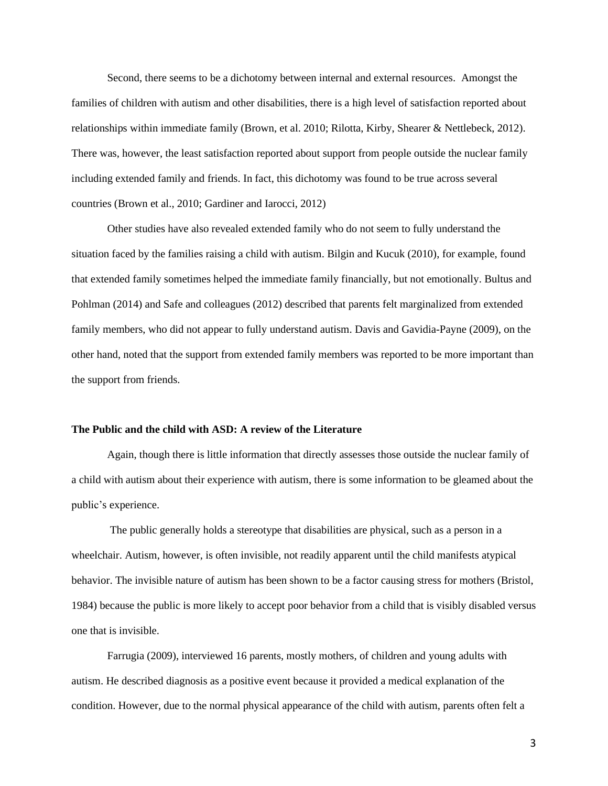Second, there seems to be a dichotomy between internal and external resources. Amongst the families of children with autism and other disabilities, there is a high level of satisfaction reported about relationships within immediate family (Brown, et al. 2010; Rilotta, Kirby, Shearer & Nettlebeck, 2012). There was, however, the least satisfaction reported about support from people outside the nuclear family including extended family and friends. In fact, this dichotomy was found to be true across several countries (Brown et al., 2010; Gardiner and Iarocci, 2012)

Other studies have also revealed extended family who do not seem to fully understand the situation faced by the families raising a child with autism. Bilgin and Kucuk (2010), for example, found that extended family sometimes helped the immediate family financially, but not emotionally. Bultus and Pohlman (2014) and Safe and colleagues (2012) described that parents felt marginalized from extended family members, who did not appear to fully understand autism. Davis and Gavidia-Payne (2009), on the other hand, noted that the support from extended family members was reported to be more important than the support from friends.

#### **The Public and the child with ASD: A review of the Literature**

Again, though there is little information that directly assesses those outside the nuclear family of a child with autism about their experience with autism, there is some information to be gleamed about the public's experience.

The public generally holds a stereotype that disabilities are physical, such as a person in a wheelchair. Autism, however, is often invisible, not readily apparent until the child manifests atypical behavior. The invisible nature of autism has been shown to be a factor causing stress for mothers (Bristol, 1984) because the public is more likely to accept poor behavior from a child that is visibly disabled versus one that is invisible.

Farrugia (2009), interviewed 16 parents, mostly mothers, of children and young adults with autism. He described diagnosis as a positive event because it provided a medical explanation of the condition. However, due to the normal physical appearance of the child with autism, parents often felt a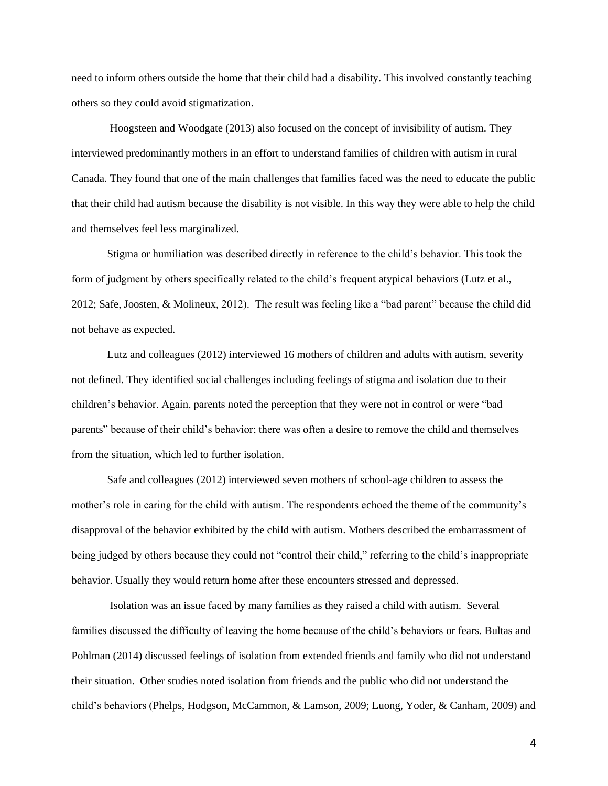need to inform others outside the home that their child had a disability. This involved constantly teaching others so they could avoid stigmatization.

Hoogsteen and Woodgate (2013) also focused on the concept of invisibility of autism. They interviewed predominantly mothers in an effort to understand families of children with autism in rural Canada. They found that one of the main challenges that families faced was the need to educate the public that their child had autism because the disability is not visible. In this way they were able to help the child and themselves feel less marginalized.

Stigma or humiliation was described directly in reference to the child's behavior. This took the form of judgment by others specifically related to the child's frequent atypical behaviors (Lutz et al., 2012; Safe, Joosten, & Molineux, 2012). The result was feeling like a "bad parent" because the child did not behave as expected.

Lutz and colleagues (2012) interviewed 16 mothers of children and adults with autism, severity not defined. They identified social challenges including feelings of stigma and isolation due to their children's behavior. Again, parents noted the perception that they were not in control or were "bad parents" because of their child's behavior; there was often a desire to remove the child and themselves from the situation, which led to further isolation.

Safe and colleagues (2012) interviewed seven mothers of school-age children to assess the mother's role in caring for the child with autism. The respondents echoed the theme of the community's disapproval of the behavior exhibited by the child with autism. Mothers described the embarrassment of being judged by others because they could not "control their child," referring to the child's inappropriate behavior. Usually they would return home after these encounters stressed and depressed.

Isolation was an issue faced by many families as they raised a child with autism. Several families discussed the difficulty of leaving the home because of the child's behaviors or fears. Bultas and Pohlman (2014) discussed feelings of isolation from extended friends and family who did not understand their situation. Other studies noted isolation from friends and the public who did not understand the child's behaviors (Phelps, Hodgson, McCammon, & Lamson, 2009; Luong, Yoder, & Canham, 2009) and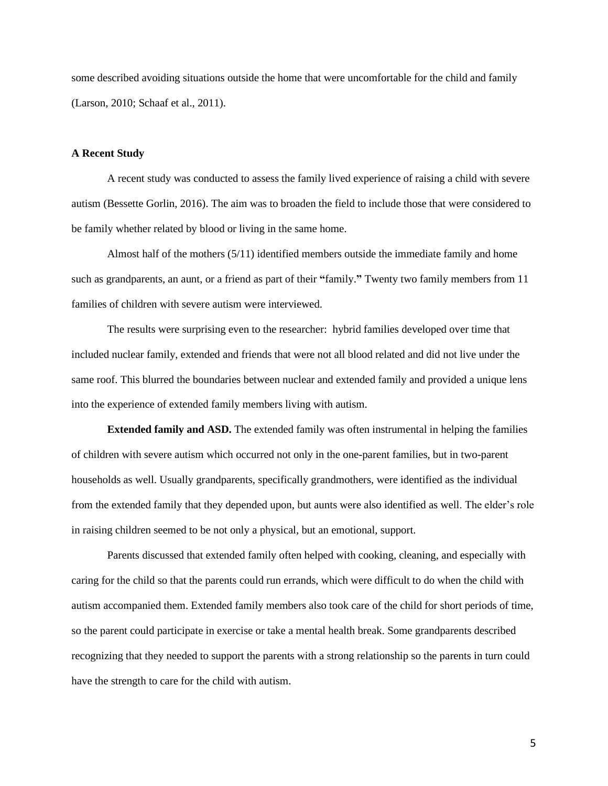some described avoiding situations outside the home that were uncomfortable for the child and family (Larson, 2010; Schaaf et al., 2011).

## **A Recent Study**

A recent study was conducted to assess the family lived experience of raising a child with severe autism (Bessette Gorlin, 2016). The aim was to broaden the field to include those that were considered to be family whether related by blood or living in the same home.

Almost half of the mothers (5/11) identified members outside the immediate family and home such as grandparents, an aunt, or a friend as part of their **"**family.**"** Twenty two family members from 11 families of children with severe autism were interviewed.

The results were surprising even to the researcher: hybrid families developed over time that included nuclear family, extended and friends that were not all blood related and did not live under the same roof. This blurred the boundaries between nuclear and extended family and provided a unique lens into the experience of extended family members living with autism.

**Extended family and ASD.** The extended family was often instrumental in helping the families of children with severe autism which occurred not only in the one-parent families, but in two-parent households as well. Usually grandparents, specifically grandmothers, were identified as the individual from the extended family that they depended upon, but aunts were also identified as well. The elder's role in raising children seemed to be not only a physical, but an emotional, support.

Parents discussed that extended family often helped with cooking, cleaning, and especially with caring for the child so that the parents could run errands, which were difficult to do when the child with autism accompanied them. Extended family members also took care of the child for short periods of time, so the parent could participate in exercise or take a mental health break. Some grandparents described recognizing that they needed to support the parents with a strong relationship so the parents in turn could have the strength to care for the child with autism.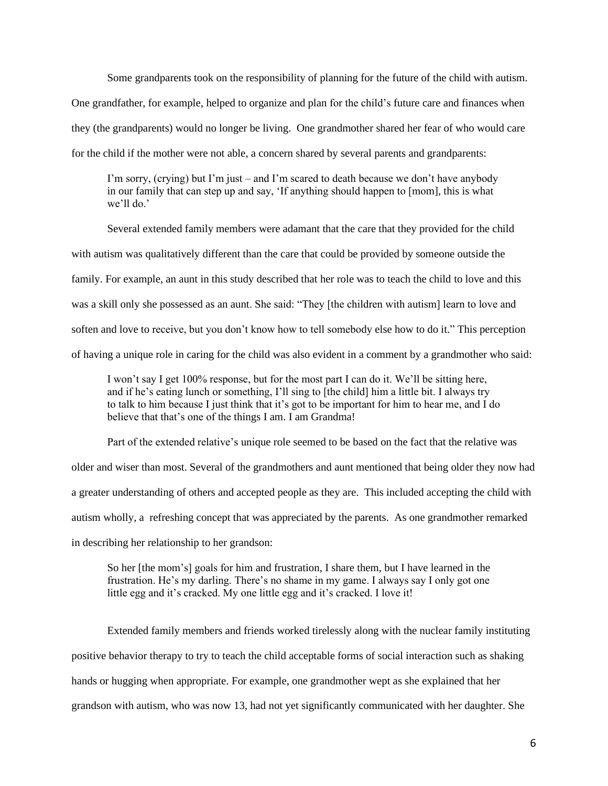Some grandparents took on the responsibility of planning for the future of the child with autism.

One grandfather, for example, helped to organize and plan for the child's future care and finances when they (the grandparents) would no longer be living. One grandmother shared her fear of who would care for the child if the mother were not able, a concern shared by several parents and grandparents:

I'm sorry, (crying) but I'm just – and I'm scared to death because we don't have anybody in our family that can step up and say, 'If anything should happen to [mom], this is what we'll do.'

Several extended family members were adamant that the care that they provided for the child with autism was qualitatively different than the care that could be provided by someone outside the family. For example, an aunt in this study described that her role was to teach the child to love and this was a skill only she possessed as an aunt. She said: "They [the children with autism] learn to love and soften and love to receive, but you don't know how to tell somebody else how to do it." This perception of having a unique role in caring for the child was also evident in a comment by a grandmother who said:

I won't say I get 100% response, but for the most part I can do it. We'll be sitting here, and if he's eating lunch or something, I'll sing to [the child] him a little bit. I always try to talk to him because I just think that it's got to be important for him to hear me, and I do believe that that's one of the things I am. I am Grandma!

Part of the extended relative's unique role seemed to be based on the fact that the relative was

older and wiser than most. Several of the grandmothers and aunt mentioned that being older they now had a greater understanding of others and accepted people as they are. This included accepting the child with autism wholly, a refreshing concept that was appreciated by the parents. As one grandmother remarked in describing her relationship to her grandson:

So her [the mom's] goals for him and frustration, I share them, but I have learned in the frustration. He's my darling. There's no shame in my game. I always say I only got one little egg and it's cracked. My one little egg and it's cracked. I love it!

Extended family members and friends worked tirelessly along with the nuclear family instituting positive behavior therapy to try to teach the child acceptable forms of social interaction such as shaking hands or hugging when appropriate. For example, one grandmother wept as she explained that her grandson with autism, who was now 13, had not yet significantly communicated with her daughter. She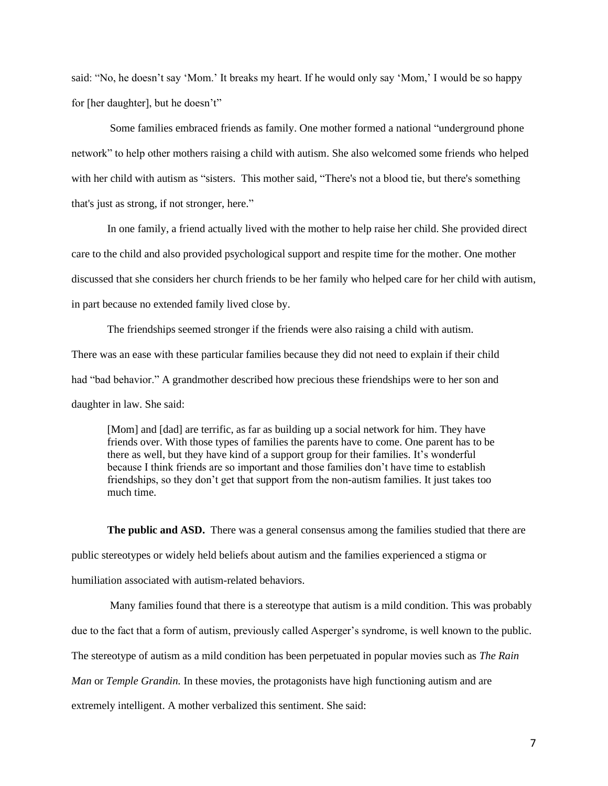said: "No, he doesn't say 'Mom.' It breaks my heart. If he would only say 'Mom,' I would be so happy for [her daughter], but he doesn't"

Some families embraced friends as family. One mother formed a national "underground phone network" to help other mothers raising a child with autism. She also welcomed some friends who helped with her child with autism as "sisters. This mother said, "There's not a blood tie, but there's something that's just as strong, if not stronger, here."

In one family, a friend actually lived with the mother to help raise her child. She provided direct care to the child and also provided psychological support and respite time for the mother. One mother discussed that she considers her church friends to be her family who helped care for her child with autism, in part because no extended family lived close by.

The friendships seemed stronger if the friends were also raising a child with autism. There was an ease with these particular families because they did not need to explain if their child had "bad behavior." A grandmother described how precious these friendships were to her son and daughter in law. She said:

[Mom] and [dad] are terrific, as far as building up a social network for him. They have friends over. With those types of families the parents have to come. One parent has to be there as well, but they have kind of a support group for their families. It's wonderful because I think friends are so important and those families don't have time to establish friendships, so they don't get that support from the non-autism families. It just takes too much time.

**The public and ASD.** There was a general consensus among the families studied that there are public stereotypes or widely held beliefs about autism and the families experienced a stigma or humiliation associated with autism-related behaviors.

Many families found that there is a stereotype that autism is a mild condition. This was probably due to the fact that a form of autism, previously called Asperger's syndrome, is well known to the public. The stereotype of autism as a mild condition has been perpetuated in popular movies such as *The Rain Man* or *Temple Grandin.* In these movies, the protagonists have high functioning autism and are extremely intelligent. A mother verbalized this sentiment. She said: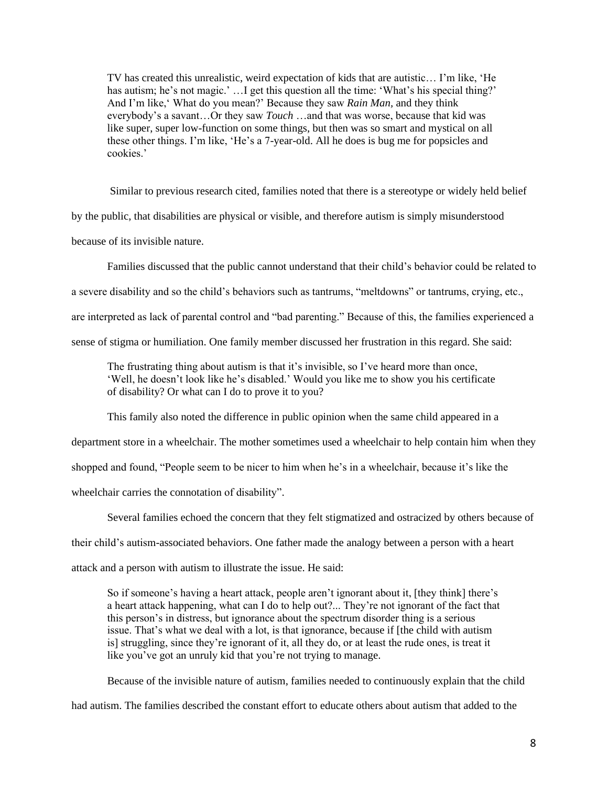TV has created this unrealistic, weird expectation of kids that are autistic… I'm like, 'He has autism; he's not magic.' ... I get this question all the time: 'What's his special thing?' And I'm like,' What do you mean?' Because they saw *Rain Man,* and they think everybody's a savant…Or they saw *Touch* …and that was worse, because that kid was like super, super low-function on some things, but then was so smart and mystical on all these other things. I'm like, 'He's a 7-year-old. All he does is bug me for popsicles and cookies.'

Similar to previous research cited, families noted that there is a stereotype or widely held belief

by the public, that disabilities are physical or visible, and therefore autism is simply misunderstood

because of its invisible nature.

Families discussed that the public cannot understand that their child's behavior could be related to a severe disability and so the child's behaviors such as tantrums, "meltdowns" or tantrums, crying, etc., are interpreted as lack of parental control and "bad parenting." Because of this, the families experienced a sense of stigma or humiliation. One family member discussed her frustration in this regard. She said:

The frustrating thing about autism is that it's invisible, so I've heard more than once, 'Well, he doesn't look like he's disabled.' Would you like me to show you his certificate of disability? Or what can I do to prove it to you?

This family also noted the difference in public opinion when the same child appeared in a

department store in a wheelchair. The mother sometimes used a wheelchair to help contain him when they

shopped and found, "People seem to be nicer to him when he's in a wheelchair, because it's like the

wheelchair carries the connotation of disability".

Several families echoed the concern that they felt stigmatized and ostracized by others because of their child's autism-associated behaviors. One father made the analogy between a person with a heart attack and a person with autism to illustrate the issue. He said:

So if someone's having a heart attack, people aren't ignorant about it, [they think] there's a heart attack happening, what can I do to help out?... They're not ignorant of the fact that this person's in distress, but ignorance about the spectrum disorder thing is a serious issue. That's what we deal with a lot, is that ignorance, because if [the child with autism is] struggling, since they're ignorant of it, all they do, or at least the rude ones, is treat it like you've got an unruly kid that you're not trying to manage.

Because of the invisible nature of autism, families needed to continuously explain that the child

had autism. The families described the constant effort to educate others about autism that added to the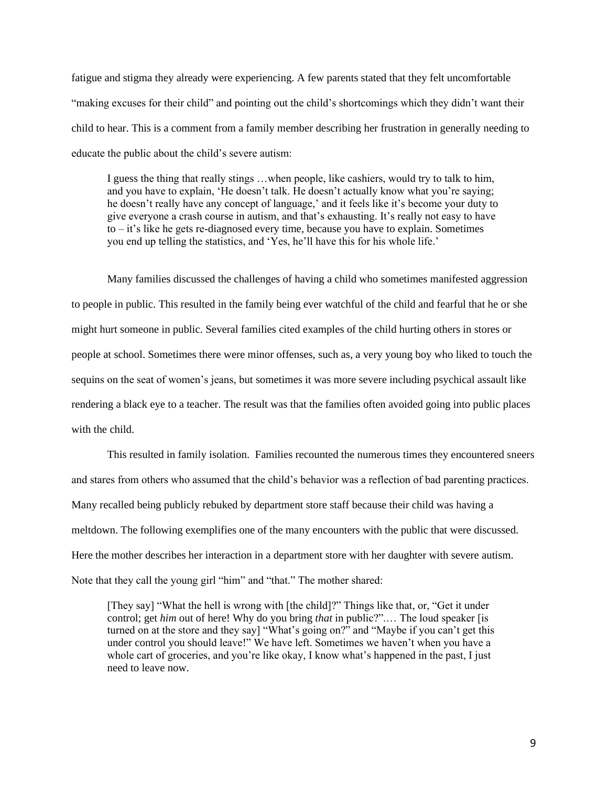fatigue and stigma they already were experiencing. A few parents stated that they felt uncomfortable "making excuses for their child" and pointing out the child's shortcomings which they didn't want their child to hear. This is a comment from a family member describing her frustration in generally needing to educate the public about the child's severe autism:

I guess the thing that really stings …when people, like cashiers, would try to talk to him, and you have to explain, 'He doesn't talk. He doesn't actually know what you're saying; he doesn't really have any concept of language,' and it feels like it's become your duty to give everyone a crash course in autism, and that's exhausting. It's really not easy to have to – it's like he gets re-diagnosed every time, because you have to explain. Sometimes you end up telling the statistics, and 'Yes, he'll have this for his whole life.'

Many families discussed the challenges of having a child who sometimes manifested aggression to people in public. This resulted in the family being ever watchful of the child and fearful that he or she might hurt someone in public. Several families cited examples of the child hurting others in stores or people at school. Sometimes there were minor offenses, such as, a very young boy who liked to touch the sequins on the seat of women's jeans, but sometimes it was more severe including psychical assault like rendering a black eye to a teacher. The result was that the families often avoided going into public places with the child.

This resulted in family isolation. Families recounted the numerous times they encountered sneers and stares from others who assumed that the child's behavior was a reflection of bad parenting practices. Many recalled being publicly rebuked by department store staff because their child was having a meltdown. The following exemplifies one of the many encounters with the public that were discussed. Here the mother describes her interaction in a department store with her daughter with severe autism. Note that they call the young girl "him" and "that." The mother shared:

[They say] "What the hell is wrong with [the child]?" Things like that, or, "Get it under control; get *him* out of here! Why do you bring *that* in public?".… The loud speaker [is turned on at the store and they say] "What's going on?" and "Maybe if you can't get this under control you should leave!" We have left. Sometimes we haven't when you have a whole cart of groceries, and you're like okay, I know what's happened in the past, I just need to leave now.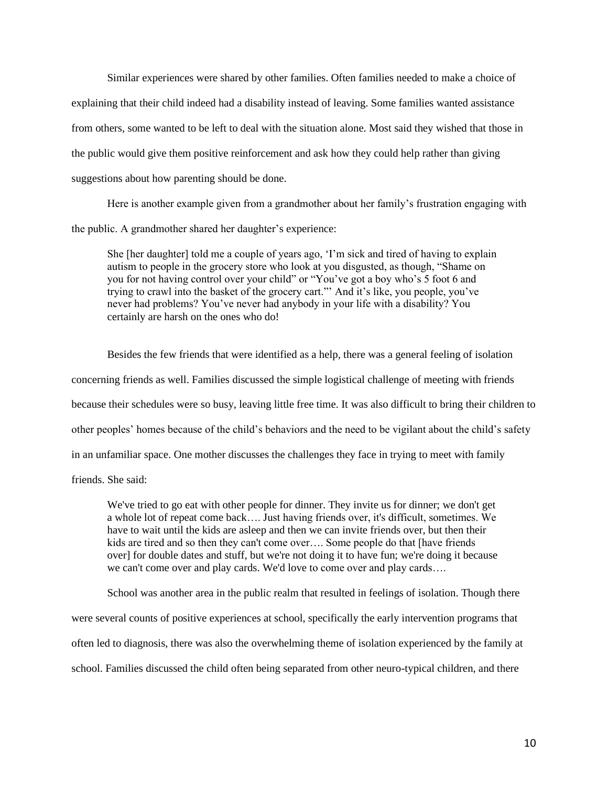Similar experiences were shared by other families. Often families needed to make a choice of explaining that their child indeed had a disability instead of leaving. Some families wanted assistance from others, some wanted to be left to deal with the situation alone. Most said they wished that those in the public would give them positive reinforcement and ask how they could help rather than giving suggestions about how parenting should be done.

Here is another example given from a grandmother about her family's frustration engaging with the public. A grandmother shared her daughter's experience:

She [her daughter] told me a couple of years ago, 'I'm sick and tired of having to explain autism to people in the grocery store who look at you disgusted, as though, "Shame on you for not having control over your child" or "You've got a boy who's 5 foot 6 and trying to crawl into the basket of the grocery cart."' And it's like, you people, you've never had problems? You've never had anybody in your life with a disability? You certainly are harsh on the ones who do!

Besides the few friends that were identified as a help, there was a general feeling of isolation concerning friends as well. Families discussed the simple logistical challenge of meeting with friends because their schedules were so busy, leaving little free time. It was also difficult to bring their children to other peoples' homes because of the child's behaviors and the need to be vigilant about the child's safety in an unfamiliar space. One mother discusses the challenges they face in trying to meet with family friends. She said:

We've tried to go eat with other people for dinner. They invite us for dinner; we don't get a whole lot of repeat come back…. Just having friends over, it's difficult, sometimes. We have to wait until the kids are asleep and then we can invite friends over, but then their kids are tired and so then they can't come over…. Some people do that [have friends over] for double dates and stuff, but we're not doing it to have fun; we're doing it because we can't come over and play cards. We'd love to come over and play cards....

School was another area in the public realm that resulted in feelings of isolation. Though there were several counts of positive experiences at school, specifically the early intervention programs that often led to diagnosis, there was also the overwhelming theme of isolation experienced by the family at school. Families discussed the child often being separated from other neuro-typical children, and there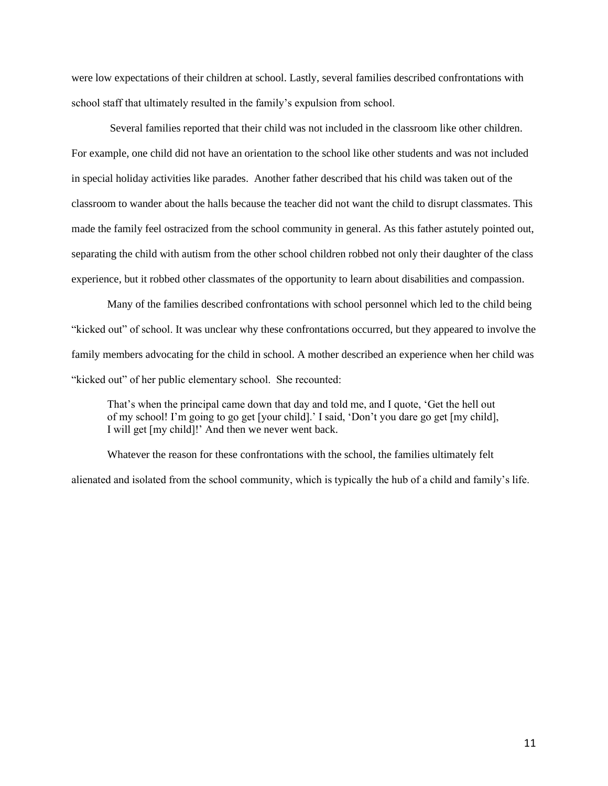were low expectations of their children at school. Lastly, several families described confrontations with school staff that ultimately resulted in the family's expulsion from school.

Several families reported that their child was not included in the classroom like other children. For example, one child did not have an orientation to the school like other students and was not included in special holiday activities like parades. Another father described that his child was taken out of the classroom to wander about the halls because the teacher did not want the child to disrupt classmates. This made the family feel ostracized from the school community in general. As this father astutely pointed out, separating the child with autism from the other school children robbed not only their daughter of the class experience, but it robbed other classmates of the opportunity to learn about disabilities and compassion.

Many of the families described confrontations with school personnel which led to the child being "kicked out" of school. It was unclear why these confrontations occurred, but they appeared to involve the family members advocating for the child in school. A mother described an experience when her child was "kicked out" of her public elementary school. She recounted:

That's when the principal came down that day and told me, and I quote, 'Get the hell out of my school! I'm going to go get [your child].' I said, 'Don't you dare go get [my child], I will get [my child]!' And then we never went back.

Whatever the reason for these confrontations with the school, the families ultimately felt alienated and isolated from the school community, which is typically the hub of a child and family's life.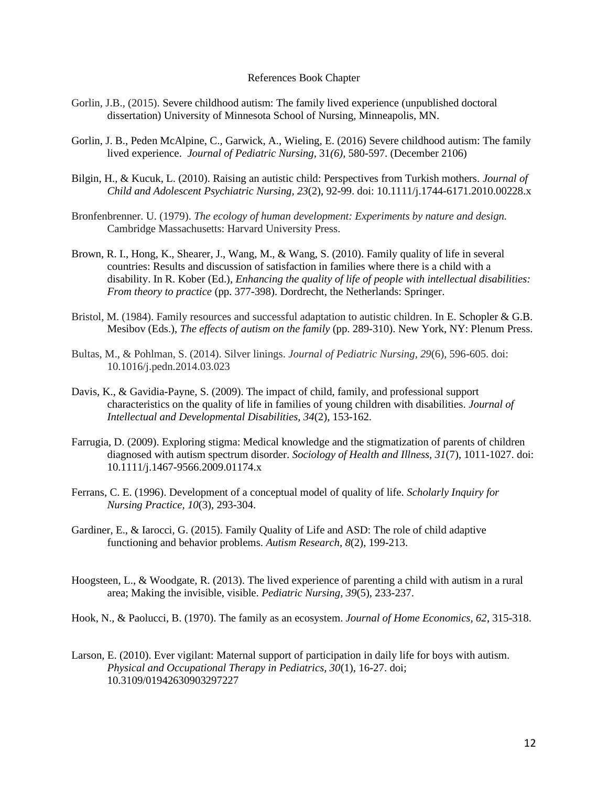#### References Book Chapter

- Gorlin, J.B., (2015). Severe childhood autism: The family lived experience (unpublished doctoral dissertation) University of Minnesota School of Nursing, Minneapolis, MN.
- Gorlin, J. B., Peden McAlpine, C., Garwick, A., Wieling, E. (2016) Severe childhood autism: The family lived experience. *Journal of Pediatric Nursing,* 31*(6),* 580-597. (December 2106)
- Bilgin, H., & Kucuk, L. (2010). Raising an autistic child: Perspectives from Turkish mothers. *Journal of Child and Adolescent Psychiatric Nursing, 23*(2), 92-99. doi: 10.1111/j.1744-6171.2010.00228.x
- Bronfenbrenner. U. (1979). *The ecology of human development: Experiments by nature and design.*  Cambridge Massachusetts: Harvard University Press.
- Brown, R. I., Hong, K., Shearer, J., Wang, M., & Wang, S. (2010). Family quality of life in several countries: Results and discussion of satisfaction in families where there is a child with a disability. In R. Kober (Ed.), *Enhancing the quality of life of people with intellectual disabilities: From theory to practice* (pp. 377-398). Dordrecht, the Netherlands: Springer.
- Bristol, M. (1984). Family resources and successful adaptation to autistic children. In E. Schopler & G.B. Mesibov (Eds.), *The effects of autism on the family* (pp. 289-310). New York, NY: Plenum Press.
- Bultas, M., & Pohlman, S. (2014). Silver linings. *Journal of Pediatric Nursing, 29*(6), 596-605. doi: 10.1016/j.pedn.2014.03.023
- Davis, K., & Gavidia-Payne, S. (2009). The impact of child, family, and professional support characteristics on the quality of life in families of young children with disabilities. *Journal of Intellectual and Developmental Disabilities, 34*(2), 153-162.
- Farrugia, D. (2009). Exploring stigma: Medical knowledge and the stigmatization of parents of children diagnosed with autism spectrum disorder. *Sociology of Health and Illness, 31*(7), 1011-1027. doi: 10.1111/j.1467-9566.2009.01174.x
- Ferrans, C. E. (1996). Development of a conceptual model of quality of life. *Scholarly Inquiry for Nursing Practice, 10*(3), 293-304.
- Gardiner, E., & Iarocci, G. (2015). Family Quality of Life and ASD: The role of child adaptive functioning and behavior problems. *Autism Research, 8*(2), 199-213.
- Hoogsteen, L., & Woodgate, R. (2013). The lived experience of parenting a child with autism in a rural area; Making the invisible, visible. *Pediatric Nursing, 39*(5), 233-237.
- Hook, N., & Paolucci, B. (1970). The family as an ecosystem. *Journal of Home Economics, 62*, 315-318.
- Larson, E. (2010). Ever vigilant: Maternal support of participation in daily life for boys with autism. *Physical and Occupational Therapy in Pediatrics, 30*(1), 16-27. doi; 10.3109/01942630903297227